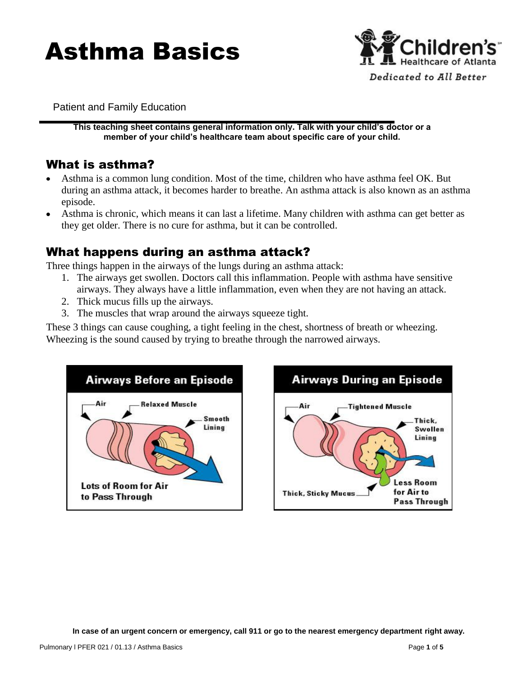# Asthma Basics



Patient and Family Education

**This teaching sheet contains general information only. Talk with your child's doctor or a member of your child's healthcare team about specific care of your child.**

# What is asthma?

- Asthma is a common lung condition. Most of the time, children who have asthma feel OK. But during an asthma attack, it becomes harder to breathe. An asthma attack is also known as an asthma episode.
- Asthma is chronic, which means it can last a lifetime. Many children with asthma can get better as they get older. There is no cure for asthma, but it can be controlled.

## What happens during an asthma attack?

Three things happen in the airways of the lungs during an asthma attack:

- 1. The airways get swollen. Doctors call this inflammation. People with asthma have sensitive airways. They always have a little inflammation, even when they are not having an attack.
- 2. Thick mucus fills up the airways.
- 3. The muscles that wrap around the airways squeeze tight.

These 3 things can cause coughing, a tight feeling in the chest, shortness of breath or wheezing. Wheezing is the sound caused by trying to breathe through the narrowed airways.



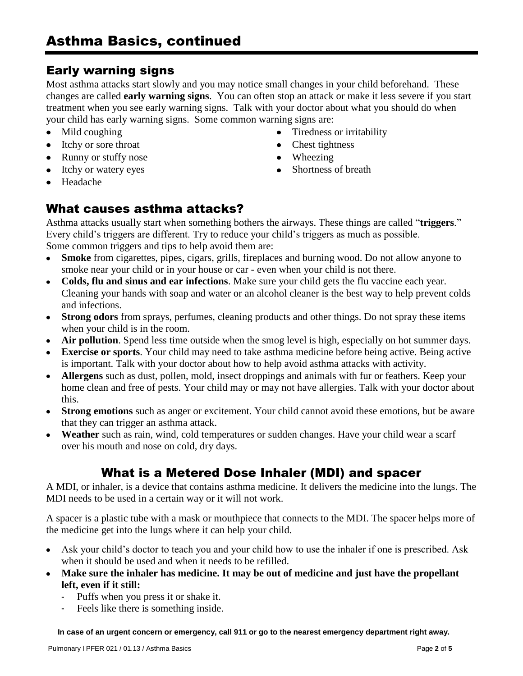# Early warning signs

Most asthma attacks start slowly and you may notice small changes in your child beforehand. These changes are called **early warning signs**. You can often stop an attack or make it less severe if you start treatment when you see early warning signs. Talk with your doctor about what you should do when your child has early warning signs. Some common warning signs are:

- Mild coughing
- Itchy or sore throat
- Runny or stuffy nose
- Itchy or watery eyes
- Tiredness or irritability • Chest tightness
- Wheezing
- Shortness of breath

Headache

## What causes asthma attacks?

Asthma attacks usually start when something bothers the airways. These things are called "**triggers**." Every child's triggers are different. Try to reduce your child's triggers as much as possible. Some common triggers and tips to help avoid them are:

- **Smoke** from cigarettes, pipes, cigars, grills, fireplaces and burning wood. Do not allow anyone to smoke near your child or in your house or car - even when your child is not there.
- **Colds, flu and sinus and ear infections**. Make sure your child gets the flu vaccine each year. Cleaning your hands with soap and water or an alcohol cleaner is the best way to help prevent colds and infections.
- **Strong odors** from sprays, perfumes, cleaning products and other things. Do not spray these items when your child is in the room.
- **Air pollution**. Spend less time outside when the smog level is high, especially on hot summer days.
- **Exercise or sports**. Your child may need to take asthma medicine before being active. Being active is important. Talk with your doctor about how to help avoid asthma attacks with activity.
- **Allergens** such as dust, pollen, mold, insect droppings and animals with fur or feathers. Keep your home clean and free of pests. Your child may or may not have allergies. Talk with your doctor about this.
- **Strong emotions** such as anger or excitement. Your child cannot avoid these emotions, but be aware that they can trigger an asthma attack.
- **Weather** such as rain, wind, cold temperatures or sudden changes. Have your child wear a scarf over his mouth and nose on cold, dry days.

# What is a Metered Dose Inhaler (MDI) and spacer

A MDI, or inhaler, is a device that contains asthma medicine. It delivers the medicine into the lungs. The MDI needs to be used in a certain way or it will not work.

A spacer is a plastic tube with a mask or mouthpiece that connects to the MDI. The spacer helps more of the medicine get into the lungs where it can help your child.

- Ask your child's doctor to teach you and your child how to use the inhaler if one is prescribed. Ask  $\bullet$ when it should be used and when it needs to be refilled.
- **Make sure the inhaler has medicine. It may be out of medicine and just have the propellant left, even if it still:**
	- Puffs when you press it or shake it.
	- Feels like there is something inside.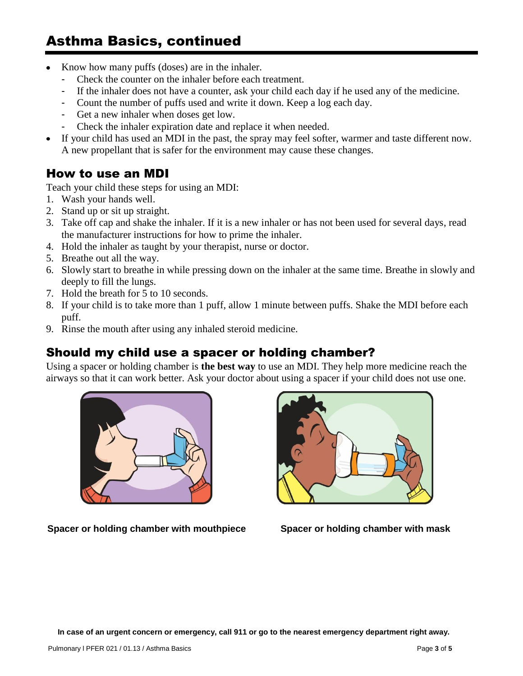# Asthma Basics, continued

- Know how many puffs (doses) are in the inhaler.
	- Check the counter on the inhaler before each treatment.
	- If the inhaler does not have a counter, ask your child each day if he used any of the medicine.
	- Count the number of puffs used and write it down. Keep a log each day.
	- Get a new inhaler when doses get low.
	- Check the inhaler expiration date and replace it when needed.
- If your child has used an MDI in the past, the spray may feel softer, warmer and taste different now.  $\bullet$ A new propellant that is safer for the environment may cause these changes.

#### How to use an MDI

Teach your child these steps for using an MDI:

- 1. Wash your hands well.
- 2. Stand up or sit up straight.
- 3. Take off cap and shake the inhaler. If it is a new inhaler or has not been used for several days, read the manufacturer instructions for how to prime the inhaler.
- 4. Hold the inhaler as taught by your therapist, nurse or doctor.
- 5. Breathe out all the way.
- 6. Slowly start to breathe in while pressing down on the inhaler at the same time. Breathe in slowly and deeply to fill the lungs.
- 7. Hold the breath for 5 to 10 seconds.
- 8. If your child is to take more than 1 puff, allow 1 minute between puffs. Shake the MDI before each puff.
- 9. Rinse the mouth after using any inhaled steroid medicine.

#### Should my child use a spacer or holding chamber?

Using a spacer or holding chamber is **the best way** to use an MDI. They help more medicine reach the airways so that it can work better. Ask your doctor about using a spacer if your child does not use one.



**Spacer or holding chamber with mouthpiece Spacer or holding chamber with mask**

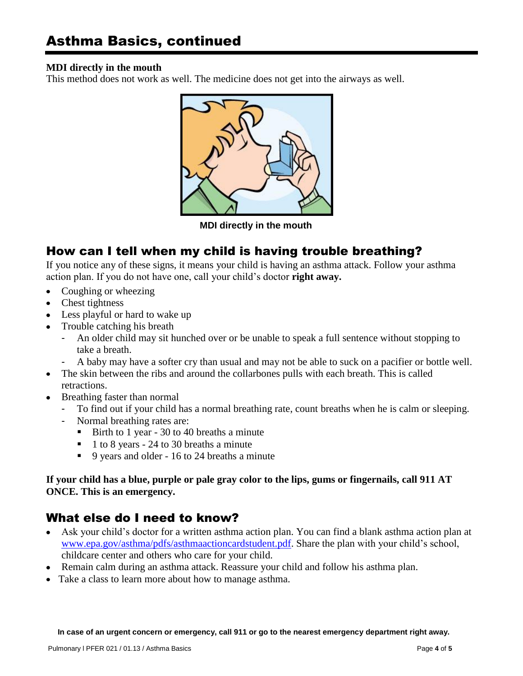#### **MDI directly in the mouth**

This method does not work as well. The medicine does not get into the airways as well.



 **MDI directly in the mouth**

## How can I tell when my child is having trouble breathing?

If you notice any of these signs, it means your child is having an asthma attack. Follow your asthma action plan. If you do not have one, call your child's doctor **right away.**

- Coughing or wheezing  $\bullet$
- Chest tightness
- Less playful or hard to wake up
- Trouble catching his breath
	- An older child may sit hunched over or be unable to speak a full sentence without stopping to take a breath.
	- A baby may have a softer cry than usual and may not be able to suck on a pacifier or bottle well.
- The skin between the ribs and around the collarbones pulls with each breath. This is called retractions.
- Breathing faster than normal
	- To find out if your child has a normal breathing rate, count breaths when he is calm or sleeping.
	- Normal breathing rates are:
		- Birth to 1 year 30 to 40 breaths a minute
		- 1 to 8 years 24 to 30 breaths a minute
		- 9 years and older 16 to 24 breaths a minute

#### **If your child has a blue, purple or pale gray color to the lips, gums or fingernails, call 911 AT ONCE. This is an emergency.**

# What else do I need to know?

- Ask your child's doctor for a written asthma action plan. You can find a blank asthma action plan at [www.epa.gov/asthma/pdfs/asthmaactioncardstudent.pdf.](http://www.epa.gov/asthma/pdfs/asthmaactioncardstudent.pdf) Share the plan with your child's school, childcare center and others who care for your child.
- Remain calm during an asthma attack. Reassure your child and follow his asthma plan.
- Take a class to learn more about how to manage asthma.